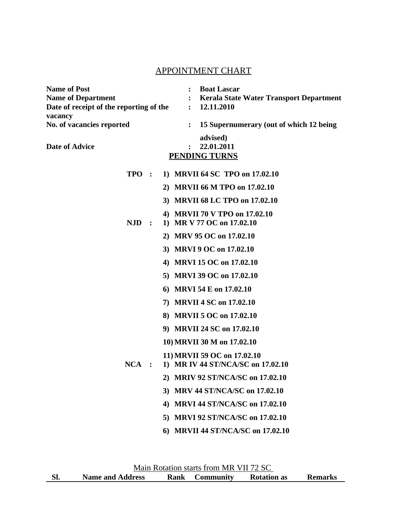## APPOINTMENT CHART

| <b>Name of Post</b>                                | <b>Boat Lascar</b>                                        |
|----------------------------------------------------|-----------------------------------------------------------|
| <b>Name of Department</b>                          | <b>Kerala State Water Transport Department</b>            |
| Date of receipt of the reporting of the<br>vacancy | 12.11.2010<br>$\ddot{\cdot}$                              |
| No. of vacancies reported                          | 15 Supernumerary (out of which 12 being<br>$\ddot{\cdot}$ |
|                                                    | advised)                                                  |
| <b>Date of Advice</b>                              | 22.01.2011                                                |
|                                                    | <b>PENDING TURNS</b>                                      |
| TPO :                                              | 1) MRVII 64 SC TPO on 17.02.10                            |
|                                                    | 2) MRVII 66 M TPO on 17.02.10                             |
|                                                    | 3) MRVII 68 LC TPO on 17.02.10                            |
|                                                    | 4) MRVII 70 V TPO on 17.02.10                             |
| <b>NJD</b><br>$\ddot{\phantom{1}}$                 | 1) MR V 77 OC on 17.02.10                                 |
|                                                    | 2) MRV 95 OC on 17.02.10                                  |
|                                                    | 3) MRVI 9 OC on 17.02.10                                  |
|                                                    | 4) MRVI 15 OC on 17.02.10                                 |
|                                                    | 5) MRVI 39 OC on 17.02.10                                 |
|                                                    | 6) MRVI 54 E on 17.02.10                                  |
|                                                    | 7) MRVII 4 SC on 17.02.10                                 |
|                                                    | 8) MRVII 5 OC on 17.02.10                                 |
|                                                    | 9) MRVII 24 SC on 17.02.10                                |
|                                                    | 10) MRVII 30 M on 17.02.10                                |
|                                                    | 11) MRVII 59 OC on 17.02.10                               |
| $NCA$ :                                            | 1) MR IV 44 ST/NCA/SC on 17.02.10                         |
| 2)                                                 | <b>MRIV 92 ST/NCA/SC on 17.02.10</b>                      |
| 3)                                                 | <b>MRV 44 ST/NCA/SC on 17.02.10</b>                       |
| 4)                                                 | <b>MRVI 44 ST/NCA/SC on 17.02.10</b>                      |
| 5)                                                 | <b>MRVI 92 ST/NCA/SC on 17.02.10</b>                      |
| 6)                                                 | <b>MRVII 44 ST/NCA/SC on 17.02.10</b>                     |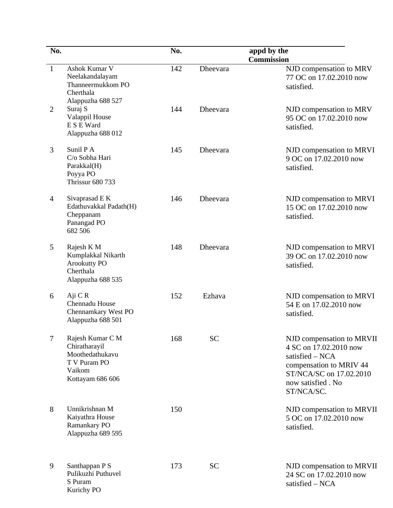| No.            |                                                                                                    | No. |                 | appd by the                                                                                                                                                        |
|----------------|----------------------------------------------------------------------------------------------------|-----|-----------------|--------------------------------------------------------------------------------------------------------------------------------------------------------------------|
| $\mathbf{1}$   | Ashok Kumar V<br>Neelakandalayam<br>Thanneermukkom PO<br>Cherthala                                 | 142 | Dheevara        | <b>Commission</b><br>NJD compensation to MRV<br>77 OC on 17.02.2010 now<br>satisfied.                                                                              |
| 2              | Alappuzha 688 527<br>Suraj S<br>Valappil House<br>E S E Ward<br>Alappuzha 688 012                  | 144 | <b>Dheevara</b> | NJD compensation to MRV<br>95 OC on 17.02.2010 now<br>satisfied.                                                                                                   |
| 3              | Sunil P A<br>C/o Sobha Hari<br>Parakkal(H)<br>Poyya PO<br><b>Thrissur 680 733</b>                  | 145 | <b>Dheevara</b> | NJD compensation to MRVI<br>9 OC on 17.02.2010 now<br>satisfied.                                                                                                   |
| $\overline{4}$ | Sivaprasad E K<br>Edathuvakkal Padath(H)<br>Cheppanam<br>Panangad PO<br>682 506                    | 146 | <b>Dheevara</b> | NJD compensation to MRVI<br>15 OC on 17.02.2010 now<br>satisfied.                                                                                                  |
| 5              | Rajesh K M<br>Kumplakkal Nikarth<br><b>Arookutty PO</b><br>Cherthala<br>Alappuzha 688 535          | 148 | <b>Dheevara</b> | NJD compensation to MRVI<br>39 OC on 17.02.2010 now<br>satisfied.                                                                                                  |
| 6              | Aji C R<br>Chennadu House<br>Chennamkary West PO<br>Alappuzha 688 501                              | 152 | Ezhava          | NJD compensation to MRVI<br>54 E on 17.02.2010 now<br>satisfied.                                                                                                   |
| 7              | Rajesh Kumar C M<br>Chiratharayil<br>Moothedathukavu<br>T V Puram PO<br>Vaikom<br>Kottayam 686 606 | 168 | <b>SC</b>       | NJD compensation to MRVII<br>4 SC on 17.02.2010 now<br>satisfied $-$ NCA<br>compensation to MRIV 44<br>ST/NCA/SC on 17.02.2010<br>now satisfied . No<br>ST/NCA/SC. |
| 8              | Unnikrishnan M<br>Kaiyathra House<br>Ramankary PO<br>Alappuzha 689 595                             | 150 |                 | NJD compensation to MRVII<br>5 OC on 17.02.2010 now<br>satisfied.                                                                                                  |
| 9              | Santhappan P S<br>Pulikuzhi Puthuvel<br>S Puram<br>Kurichy PO                                      | 173 | <b>SC</b>       | NJD compensation to MRVII<br>24 SC on 17.02.2010 now<br>satisfied - NCA                                                                                            |